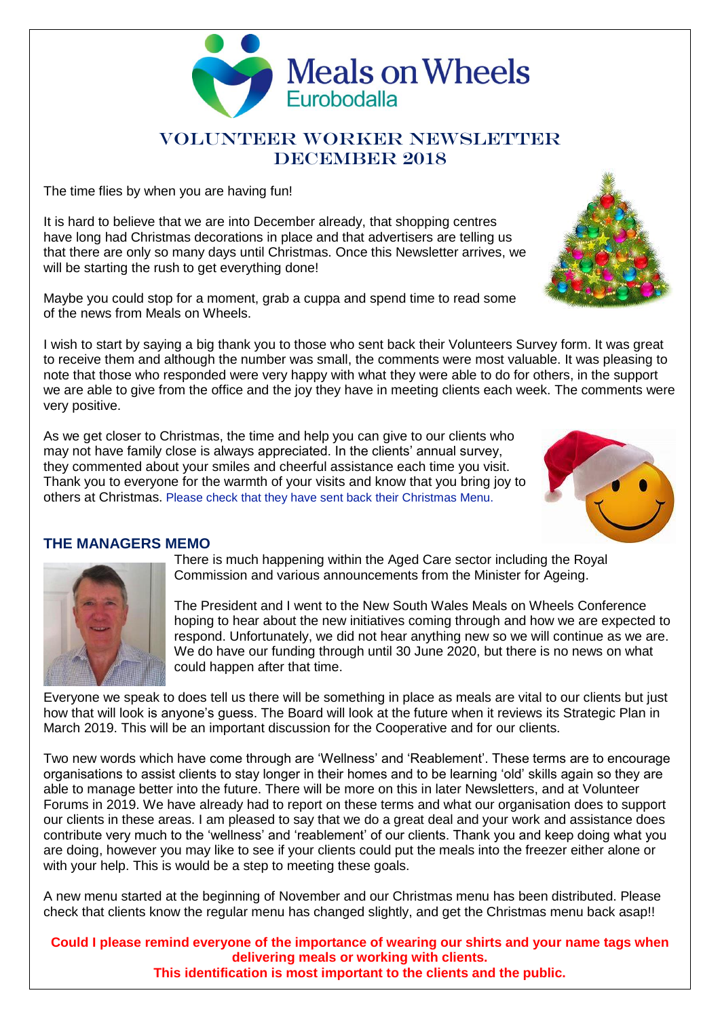

# VOLUNTEER WORKER NEWSLETTER DECEMBER 2018

The time flies by when you are having fun!

It is hard to believe that we are into December already, that shopping centres have long had Christmas decorations in place and that advertisers are telling us that there are only so many days until Christmas. Once this Newsletter arrives, we will be starting the rush to get everything done!

Maybe you could stop for a moment, grab a cuppa and spend time to read some of the news from Meals on Wheels.

I wish to start by saying a big thank you to those who sent back their Volunteers Survey form. It was great to receive them and although the number was small, the comments were most valuable. It was pleasing to note that those who responded were very happy with what they were able to do for others, in the support we are able to give from the office and the joy they have in meeting clients each week. The comments were very positive.

As we get closer to Christmas, the time and help you can give to our clients who may not have family close is always appreciated. In the clients' annual survey, they commented about your smiles and cheerful assistance each time you visit. Thank you to everyone for the warmth of your visits and know that you bring joy to others at Christmas. Please check that they have sent back their Christmas Menu.





**THE MANAGERS MEMO** There is much happening within the Aged Care sector including the Royal Commission and various announcements from the Minister for Ageing.

> The President and I went to the New South Wales Meals on Wheels Conference hoping to hear about the new initiatives coming through and how we are expected to respond. Unfortunately, we did not hear anything new so we will continue as we are. We do have our funding through until 30 June 2020, but there is no news on what could happen after that time.

Everyone we speak to does tell us there will be something in place as meals are vital to our clients but just how that will look is anyone's guess. The Board will look at the future when it reviews its Strategic Plan in March 2019. This will be an important discussion for the Cooperative and for our clients.

Two new words which have come through are 'Wellness' and 'Reablement'. These terms are to encourage organisations to assist clients to stay longer in their homes and to be learning 'old' skills again so they are able to manage better into the future. There will be more on this in later Newsletters, and at Volunteer Forums in 2019. We have already had to report on these terms and what our organisation does to support our clients in these areas. I am pleased to say that we do a great deal and your work and assistance does contribute very much to the 'wellness' and 'reablement' of our clients. Thank you and keep doing what you are doing, however you may like to see if your clients could put the meals into the freezer either alone or with your help. This is would be a step to meeting these goals.

A new menu started at the beginning of November and our Christmas menu has been distributed. Please check that clients know the regular menu has changed slightly, and get the Christmas menu back asap!!

**Could I please remind everyone of the importance of wearing our shirts and your name tags when delivering meals or working with clients. This identification is most important to the clients and the public.**

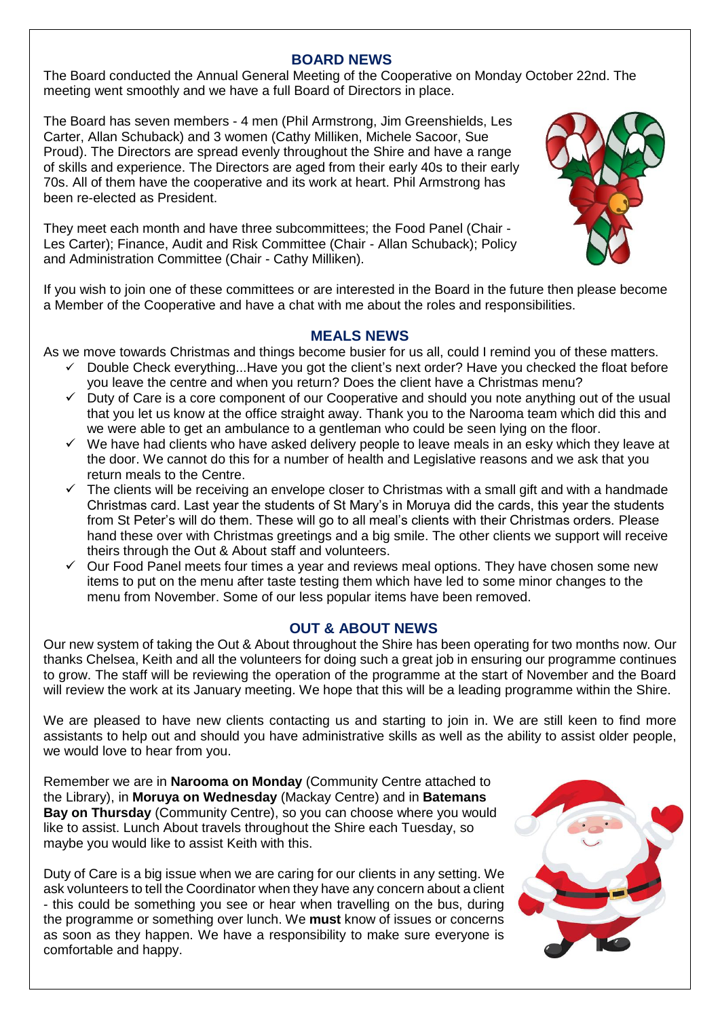#### **BOARD NEWS**

The Board conducted the Annual General Meeting of the Cooperative on Monday October 22nd. The meeting went smoothly and we have a full Board of Directors in place.

The Board has seven members - 4 men (Phil Armstrong, Jim Greenshields, Les Carter, Allan Schuback) and 3 women (Cathy Milliken, Michele Sacoor, Sue Proud). The Directors are spread evenly throughout the Shire and have a range of skills and experience. The Directors are aged from their early 40s to their early 70s. All of them have the cooperative and its work at heart. Phil Armstrong has been re-elected as President.

They meet each month and have three subcommittees; the Food Panel (Chair - Les Carter); Finance, Audit and Risk Committee (Chair - Allan Schuback); Policy and Administration Committee (Chair - Cathy Milliken).



If you wish to join one of these committees or are interested in the Board in the future then please become a Member of the Cooperative and have a chat with me about the roles and responsibilities.

#### **MEALS NEWS**

As we move towards Christmas and things become busier for us all, could I remind you of these matters.

- Double Check everything...Have you got the client's next order? Have you checked the float before you leave the centre and when you return? Does the client have a Christmas menu?
- ✓ Duty of Care is a core component of our Cooperative and should you note anything out of the usual that you let us know at the office straight away. Thank you to the Narooma team which did this and we were able to get an ambulance to a gentleman who could be seen lying on the floor.
- $\checkmark$  We have had clients who have asked delivery people to leave meals in an esky which they leave at the door. We cannot do this for a number of health and Legislative reasons and we ask that you return meals to the Centre.
- $\checkmark$  The clients will be receiving an envelope closer to Christmas with a small gift and with a handmade Christmas card. Last year the students of St Mary's in Moruya did the cards, this year the students from St Peter's will do them. These will go to all meal's clients with their Christmas orders. Please hand these over with Christmas greetings and a big smile. The other clients we support will receive theirs through the Out & About staff and volunteers.
- $\checkmark$  Our Food Panel meets four times a year and reviews meal options. They have chosen some new items to put on the menu after taste testing them which have led to some minor changes to the menu from November. Some of our less popular items have been removed.

## **OUT & ABOUT NEWS**

Our new system of taking the Out & About throughout the Shire has been operating for two months now. Our thanks Chelsea, Keith and all the volunteers for doing such a great job in ensuring our programme continues to grow. The staff will be reviewing the operation of the programme at the start of November and the Board will review the work at its January meeting. We hope that this will be a leading programme within the Shire.

We are pleased to have new clients contacting us and starting to join in. We are still keen to find more assistants to help out and should you have administrative skills as well as the ability to assist older people, we would love to hear from you.

Remember we are in **Narooma on Monday** (Community Centre attached to the Library), in **Moruya on Wednesday** (Mackay Centre) and in **Batemans Bay on Thursday** (Community Centre), so you can choose where you would like to assist. Lunch About travels throughout the Shire each Tuesday, so maybe you would like to assist Keith with this.

Duty of Care is a big issue when we are caring for our clients in any setting. We ask volunteers to tell the Coordinator when they have any concern about a client - this could be something you see or hear when travelling on the bus, during the programme or something over lunch. We **must** know of issues or concerns as soon as they happen. We have a responsibility to make sure everyone is comfortable and happy.

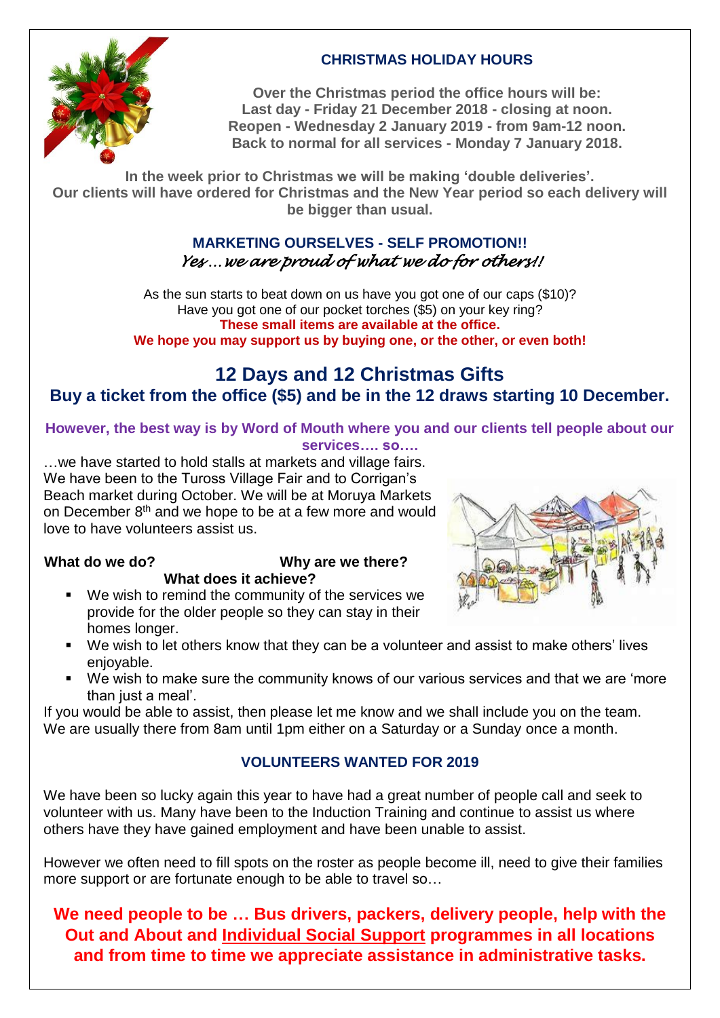

# **CHRISTMAS HOLIDAY HOURS**

**Over the Christmas period the office hours will be: Last day - Friday 21 December 2018 - closing at noon. Reopen - Wednesday 2 January 2019 - from 9am-12 noon. Back to normal for all services - Monday 7 January 2018.**

**In the week prior to Christmas we will be making 'double deliveries'. Our clients will have ordered for Christmas and the New Year period so each delivery will be bigger than usual.**

## **MARKETING OURSELVES - SELF PROMOTION!!** *Yes …we are proud of what we do for others!!*

As the sun starts to beat down on us have you got one of our caps (\$10)? Have you got one of our pocket torches (\$5) on your key ring? **These small items are available at the office. We hope you may support us by buying one, or the other, or even both!**

# **12 Days and 12 Christmas Gifts Buy a ticket from the office (\$5) and be in the 12 draws starting 10 December.**

**However, the best way is by Word of Mouth where you and our clients tell people about our services…. so….**

…we have started to hold stalls at markets and village fairs. We have been to the Tuross Village Fair and to Corrigan's Beach market during October. We will be at Moruya Markets on December 8<sup>th</sup> and we hope to be at a few more and would love to have volunteers assist us.

## **What do we do? Why are we there? What does it achieve?**

■ We wish to remind the community of the services we provide for the older people so they can stay in their homes longer.



- We wish to let others know that they can be a volunteer and assist to make others' lives enjoyable.
- We wish to make sure the community knows of our various services and that we are 'more than just a meal'.

If you would be able to assist, then please let me know and we shall include you on the team. We are usually there from 8am until 1pm either on a Saturday or a Sunday once a month.

# **VOLUNTEERS WANTED FOR 2019**

We have been so lucky again this year to have had a great number of people call and seek to volunteer with us. Many have been to the Induction Training and continue to assist us where others have they have gained employment and have been unable to assist.

However we often need to fill spots on the roster as people become ill, need to give their families more support or are fortunate enough to be able to travel so…

**We need people to be … Bus drivers, packers, delivery people, help with the Out and About and Individual Social Support programmes in all locations and from time to time we appreciate assistance in administrative tasks.**